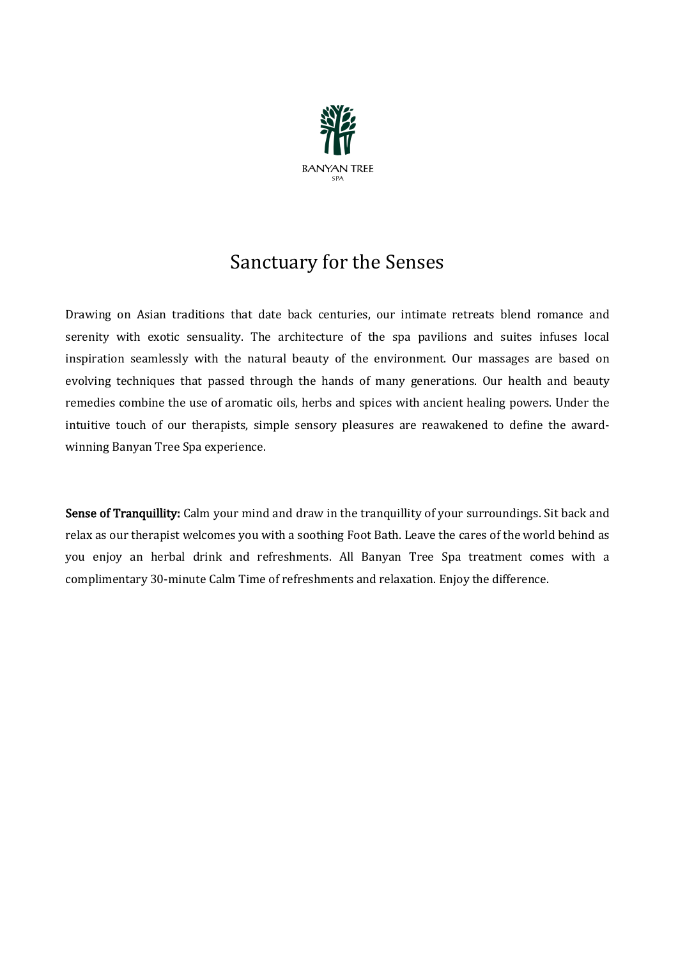

## Sanctuary for the Senses

Drawing on Asian traditions that date back centuries, our intimate retreats blend romance and serenity with exotic sensuality. The architecture of the spa pavilions and suites infuses local inspiration seamlessly with the natural beauty of the environment. Our massages are based on evolving techniques that passed through the hands of many generations. Our health and beauty remedies combine the use of aromatic oils, herbs and spices with ancient healing powers. Under the intuitive touch of our therapists, simple sensory pleasures are reawakened to define the awardwinning Banyan Tree Spa experience.

Sense of Tranquillity: Calm your mind and draw in the tranquillity of your surroundings. Sit back and relax as our therapist welcomes you with a soothing Foot Bath. Leave the cares of the world behind as you enjoy an herbal drink and refreshments. All Banyan Tree Spa treatment comes with a complimentary 30-minute Calm Time of refreshments and relaxation. Enjoy the difference.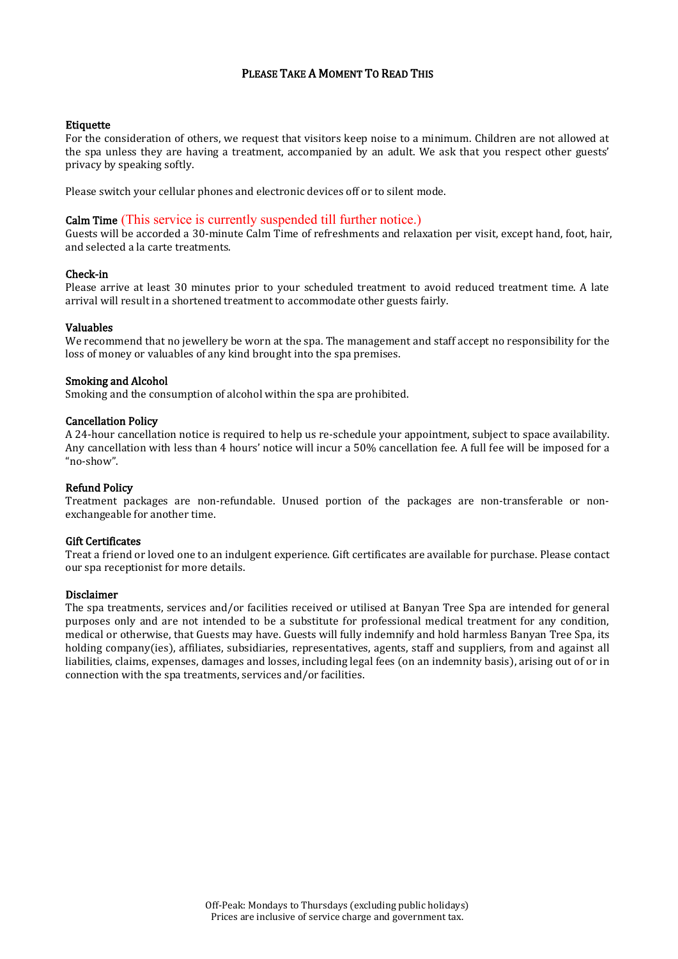#### PLEASE TAKE A MOMENT TO READ THIS

#### **Etiquette**

For the consideration of others, we request that visitors keep noise to a minimum. Children are not allowed at the spa unless they are having a treatment, accompanied by an adult. We ask that you respect other guests' privacy by speaking softly.

Please switch your cellular phones and electronic devices off or to silent mode.

#### Calm Time (This service is currently suspended till further notice.)

Guests will be accorded a 30-minute Calm Time of refreshments and relaxation per visit, except hand, foot, hair, and selected a la carte treatments.

#### Check-in

Please arrive at least 30 minutes prior to your scheduled treatment to avoid reduced treatment time. A late arrival will result in a shortened treatment to accommodate other guests fairly.

#### Valuables

We recommend that no jewellery be worn at the spa. The management and staff accept no responsibility for the loss of money or valuables of any kind brought into the spa premises.

#### Smoking and Alcohol

Smoking and the consumption of alcohol within the spa are prohibited.

#### Cancellation Policy

A 24-hour cancellation notice is required to help us re-schedule your appointment, subject to space availability. Any cancellation with less than 4 hours' notice will incur a 50% cancellation fee. A full fee will be imposed for a "no-show".

#### Refund Policy

Treatment packages are non-refundable. Unused portion of the packages are non-transferable or nonexchangeable for another time.

#### Gift Certificates

Treat a friend or loved one to an indulgent experience. Gift certificates are available for purchase. Please contact our spa receptionist for more details.

#### Disclaimer

The spa treatments, services and/or facilities received or utilised at Banyan Tree Spa are intended for general purposes only and are not intended to be a substitute for professional medical treatment for any condition, medical or otherwise, that Guests may have. Guests will fully indemnify and hold harmless Banyan Tree Spa, its holding company(ies), affiliates, subsidiaries, representatives, agents, staff and suppliers, from and against all liabilities, claims, expenses, damages and losses, including legal fees (on an indemnity basis), arising out of or in connection with the spa treatments, services and/or facilities.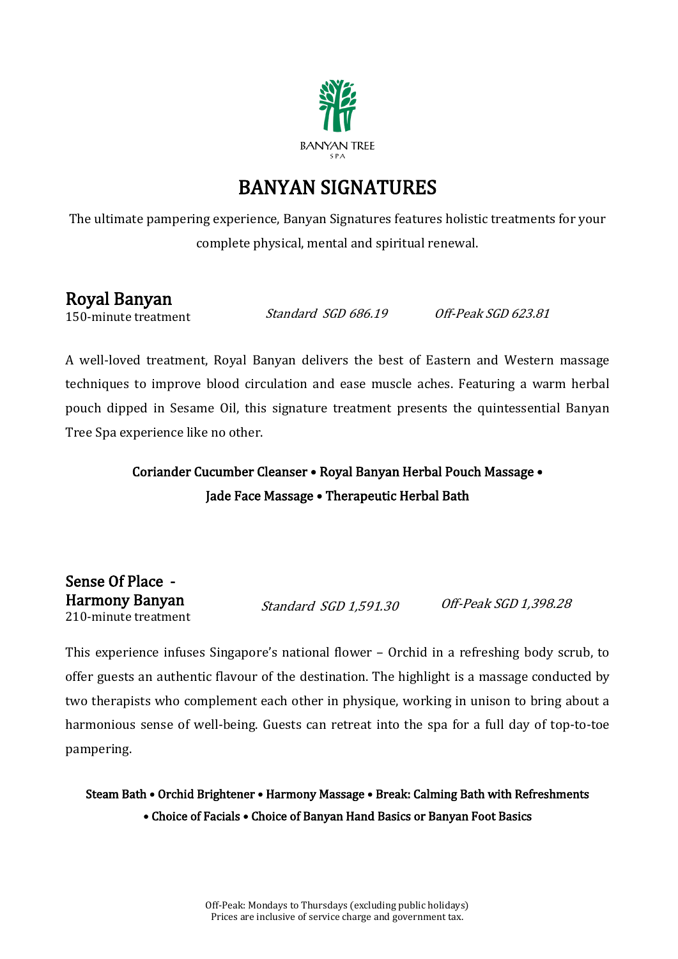

## BANYAN SIGNATURES

The ultimate pampering experience, Banyan Signatures features holistic treatments for your complete physical, mental and spiritual renewal.

### Royal Banyan

150-minute treatment

Standard SGD 686.19 Off-Peak SGD 623.81

A well-loved treatment, Royal Banyan delivers the best of Eastern and Western massage techniques to improve blood circulation and ease muscle aches. Featuring a warm herbal pouch dipped in Sesame Oil, this signature treatment presents the quintessential Banyan Tree Spa experience like no other.

### Coriander Cucumber Cleanser • Royal Banyan Herbal Pouch Massage • Jade Face Massage • Therapeutic Herbal Bath

Sense Of Place - Harmony Banyan 210-minute treatment

Standard SGD 1,591.30 Off-Peak SGD 1,398.28

This experience infuses Singapore's national flower – Orchid in a refreshing body scrub, to offer guests an authentic flavour of the destination. The highlight is a massage conducted by two therapists who complement each other in physique, working in unison to bring about a harmonious sense of well-being. Guests can retreat into the spa for a full day of top-to-toe pampering.

Steam Bath • Orchid Brightener • Harmony Massage • Break: Calming Bath with Refreshments • Choice of Facials • Choice of Banyan Hand Basics or Banyan Foot Basics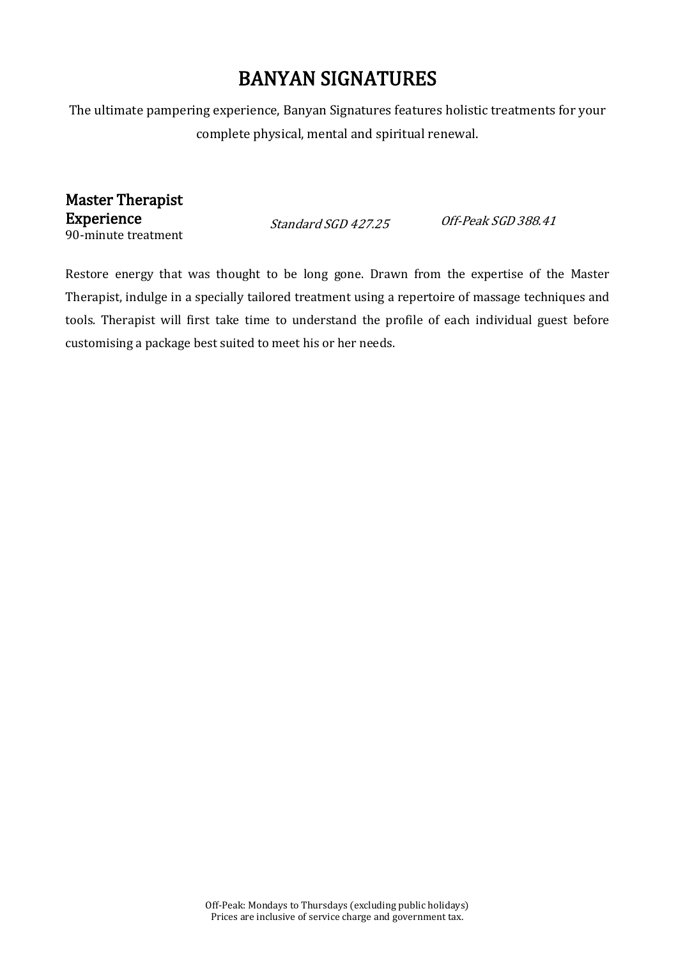## BANYAN SIGNATURES

The ultimate pampering experience, Banyan Signatures features holistic treatments for your complete physical, mental and spiritual renewal.

Master Therapist Experience 90-minute treatment

Standard SGD 427.25 Off-Peak SGD 388.41

Restore energy that was thought to be long gone. Drawn from the expertise of the Master Therapist, indulge in a specially tailored treatment using a repertoire of massage techniques and tools. Therapist will first take time to understand the profile of each individual guest before customising a package best suited to meet his or her needs.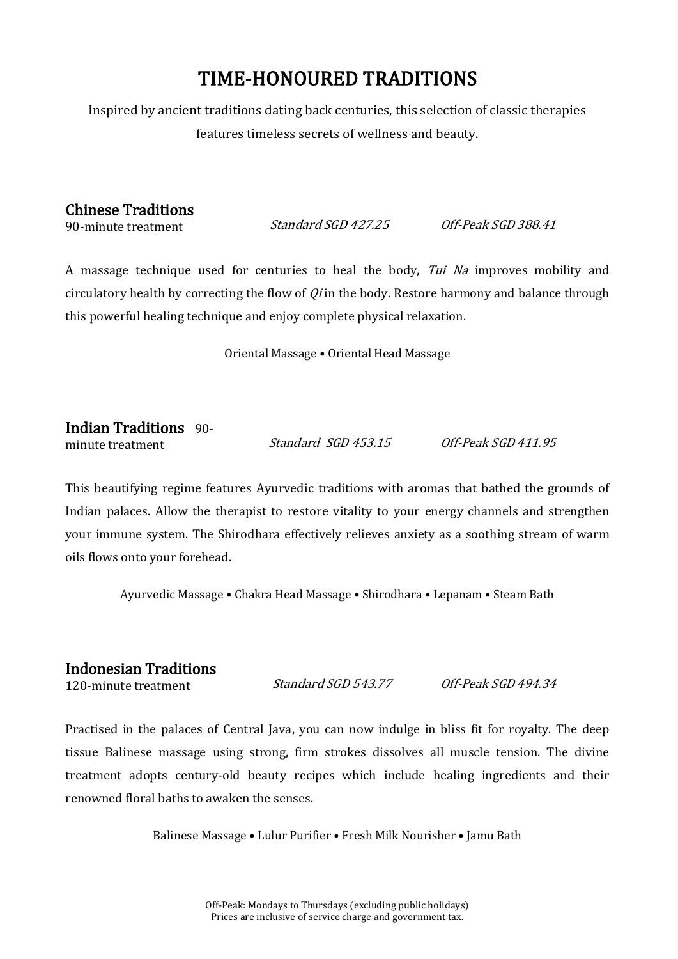## TIME-HONOURED TRADITIONS

Inspired by ancient traditions dating back centuries, this selection of classic therapies features timeless secrets of wellness and beauty.

#### Chinese Traditions

90-minute treatment

Standard SGD 427.25 Off-Peak SGD 388.41

A massage technique used for centuries to heal the body, *Tui Na* improves mobility and circulatory health by correcting the flow of  $Q_i$  in the body. Restore harmony and balance through this powerful healing technique and enjoy complete physical relaxation.

Oriental Massage • Oriental Head Massage

Indian Traditions 90 minute treatment Standard SGD 453.15 Off-Peak SGD 411.95

This beautifying regime features Ayurvedic traditions with aromas that bathed the grounds of Indian palaces. Allow the therapist to restore vitality to your energy channels and strengthen your immune system. The Shirodhara effectively relieves anxiety as a soothing stream of warm oils flows onto your forehead.

Ayurvedic Massage • Chakra Head Massage • Shirodhara • Lepanam • Steam Bath

# **Indonesian Traditions**<br>120-minute treatment

120-minute treatment Standard SGD 543.77 Off-Peak SGD 494.34

Practised in the palaces of Central Java, you can now indulge in bliss fit for royalty. The deep tissue Balinese massage using strong, firm strokes dissolves all muscle tension. The divine treatment adopts century-old beauty recipes which include healing ingredients and their renowned floral baths to awaken the senses.

Balinese Massage • Lulur Purifier • Fresh Milk Nourisher • Jamu Bath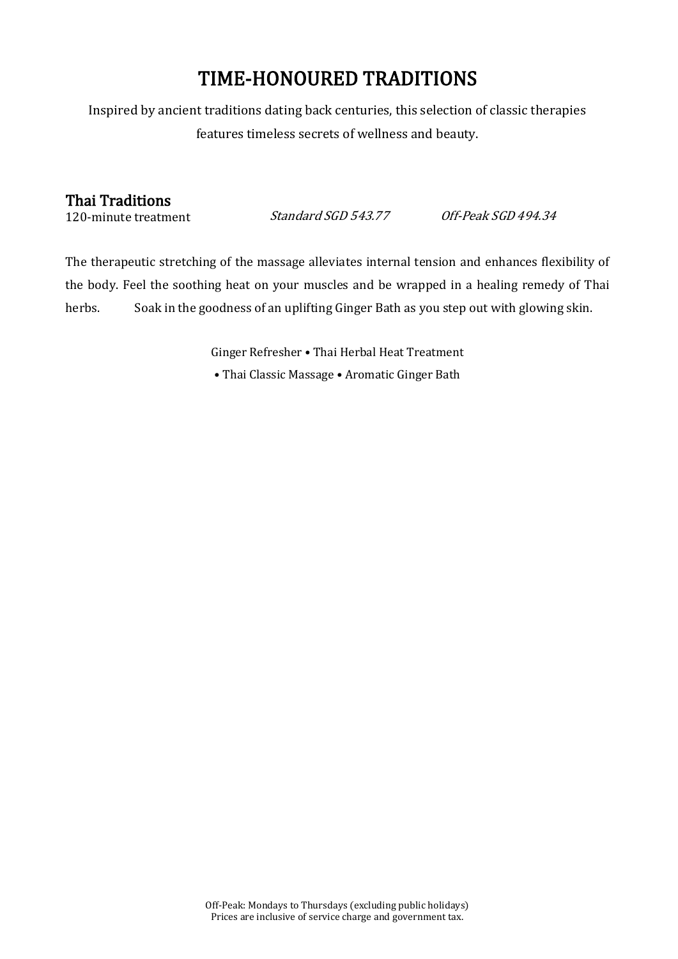## TIME-HONOURED TRADITIONS

Inspired by ancient traditions dating back centuries, this selection of classic therapies features timeless secrets of wellness and beauty.

#### Thai Traditions

120-minute treatment

Standard SGD 543.77 Off-Peak SGD 494.34

The therapeutic stretching of the massage alleviates internal tension and enhances flexibility of the body. Feel the soothing heat on your muscles and be wrapped in a healing remedy of Thai herbs. Soak in the goodness of an uplifting Ginger Bath as you step out with glowing skin.

> Ginger Refresher • Thai Herbal Heat Treatment • Thai Classic Massage • Aromatic Ginger Bath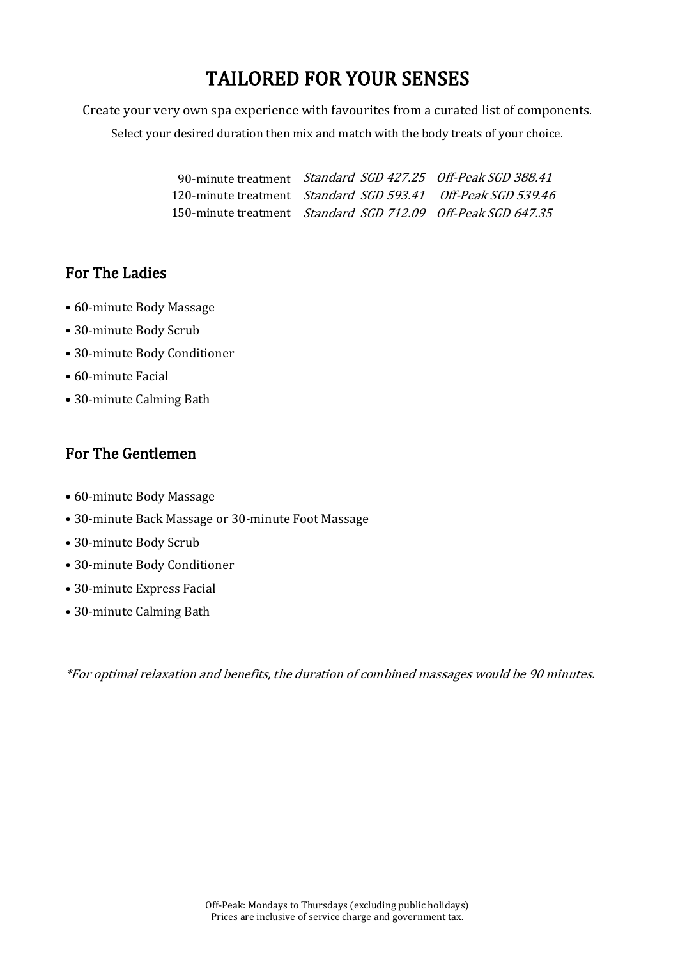## TAILORED FOR YOUR SENSES

Create your very own spa experience with favourites from a curated list of components.

Select your desired duration then mix and match with the body treats of your choice.

| 90-minute treatment   Standard SGD 427.25 Off-Peak SGD 388.41  |  |
|----------------------------------------------------------------|--|
| 120-minute treatment   Standard SGD 593.41 Off-Peak SGD 539.46 |  |
| 150-minute treatment   Standard SGD 712.09 Off-Peak SGD 647.35 |  |

### For The Ladies

- 60-minute Body Massage
- 30-minute Body Scrub
- 30-minute Body Conditioner
- 60-minute Facial
- 30-minute Calming Bath

### For The Gentlemen

- 60-minute Body Massage
- 30-minute Back Massage or 30-minute Foot Massage
- 30-minute Body Scrub
- 30-minute Body Conditioner
- 30-minute Express Facial
- 30-minute Calming Bath

\*For optimal relaxation and benefits, the duration of combined massages would be 90 minutes.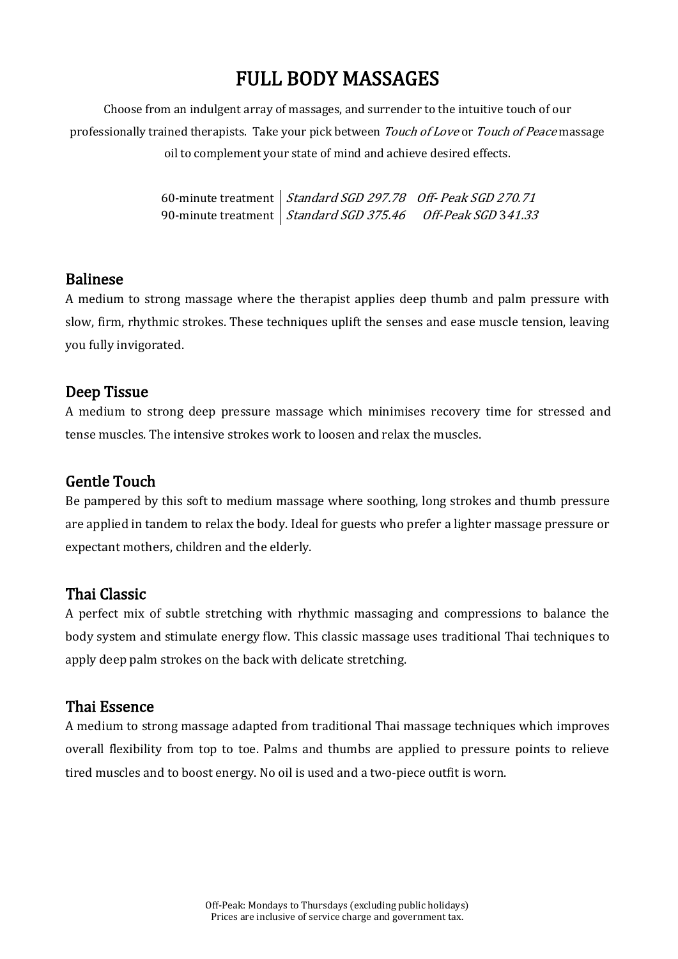## FULL BODY MASSAGES

Choose from an indulgent array of massages, and surrender to the intuitive touch of our professionally trained therapists. Take your pick between *Touch of Love* or *Touch of Peace* massage oil to complement your state of mind and achieve desired effects.

> 60-minute treatment Standard SGD 297.78 Off- Peak SGD 270.71 90-minute treatment Standard SGD 375.46 Off-Peak SGD 341.33

#### Balinese

A medium to strong massage where the therapist applies deep thumb and palm pressure with slow, firm, rhythmic strokes. These techniques uplift the senses and ease muscle tension, leaving you fully invigorated.

#### Deep Tissue

A medium to strong deep pressure massage which minimises recovery time for stressed and tense muscles. The intensive strokes work to loosen and relax the muscles.

#### Gentle Touch

Be pampered by this soft to medium massage where soothing, long strokes and thumb pressure are applied in tandem to relax the body. Ideal for guests who prefer a lighter massage pressure or expectant mothers, children and the elderly.

#### Thai Classic

A perfect mix of subtle stretching with rhythmic massaging and compressions to balance the body system and stimulate energy flow. This classic massage uses traditional Thai techniques to apply deep palm strokes on the back with delicate stretching.

#### Thai Essence

A medium to strong massage adapted from traditional Thai massage techniques which improves overall flexibility from top to toe. Palms and thumbs are applied to pressure points to relieve tired muscles and to boost energy. No oil is used and a two-piece outfit is worn.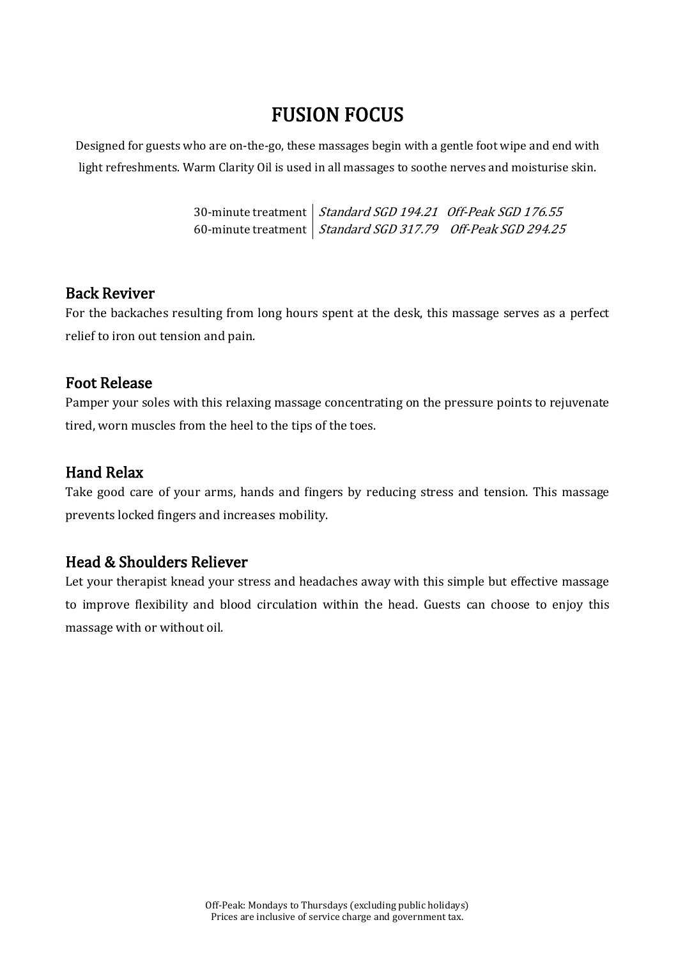## FUSION FOCUS

Designed for guests who are on-the-go, these massages begin with a gentle foot wipe and end with light refreshments. Warm Clarity Oil is used in all massages to soothe nerves and moisturise skin.

> 30-minute treatment | *Standard SGD 194.21 Off-Peak SGD 176.55* 60-minute treatment | *Standard SGD 317.79 - Off-Peak SGD 294.25*

#### Back Reviver

For the backaches resulting from long hours spent at the desk, this massage serves as a perfect relief to iron out tension and pain.

#### Foot Release

Pamper your soles with this relaxing massage concentrating on the pressure points to rejuvenate tired, worn muscles from the heel to the tips of the toes.

#### Hand Relax

Take good care of your arms, hands and fingers by reducing stress and tension. This massage prevents locked fingers and increases mobility.

#### Head & Shoulders Reliever

Let your therapist knead your stress and headaches away with this simple but effective massage to improve flexibility and blood circulation within the head. Guests can choose to enjoy this massage with or without oil.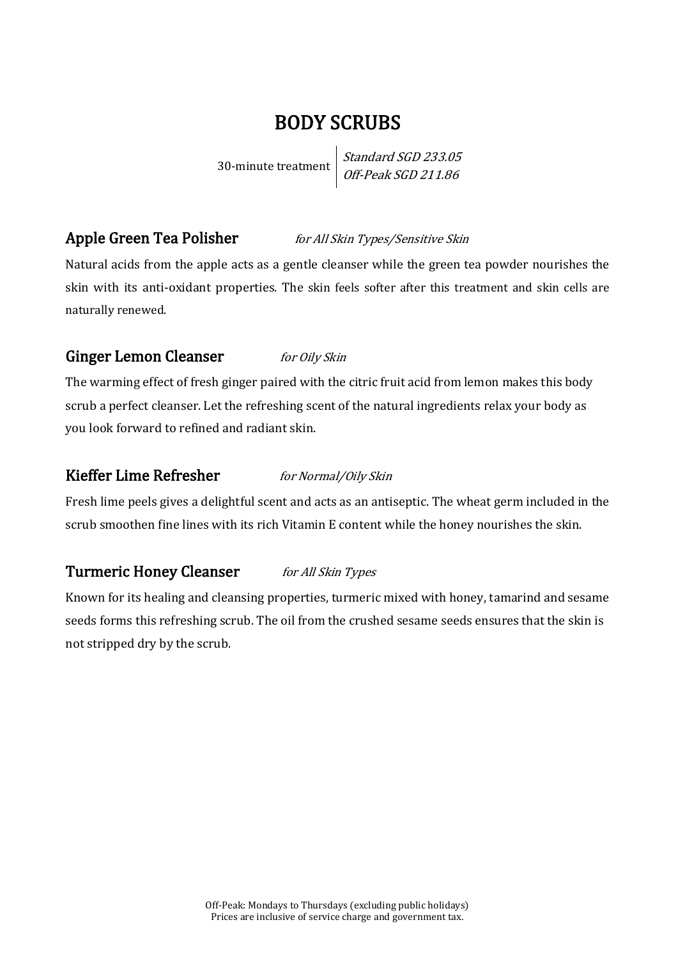### BODY SCRUBS

30-minute treatment

Standard SGD 233.05 Off-Peak SGD 211.86

### Apple Green Tea Polisher *for All Skin Types/Sensitive Skin*

Natural acids from the apple acts as a gentle cleanser while the green tea powder nourishes the skin with its anti-oxidant properties. The skin feels softer after this treatment and skin cells are naturally renewed.

#### Ginger Lemon Cleanser for Oily Skin

The warming effect of fresh ginger paired with the citric fruit acid from lemon makes this body scrub a perfect cleanser. Let the refreshing scent of the natural ingredients relax your body as you look forward to refined and radiant skin.

#### Kieffer Lime Refresher for Normal/Oily Skin

Fresh lime peels gives a delightful scent and acts as an antiseptic. The wheat germ included in the scrub smoothen fine lines with its rich Vitamin E content while the honey nourishes the skin.

#### Turmeric Honey Cleanser for All Skin Types

Known for its healing and cleansing properties, turmeric mixed with honey, tamarind and sesame seeds forms this refreshing scrub. The oil from the crushed sesame seeds ensures that the skin is not stripped dry by the scrub.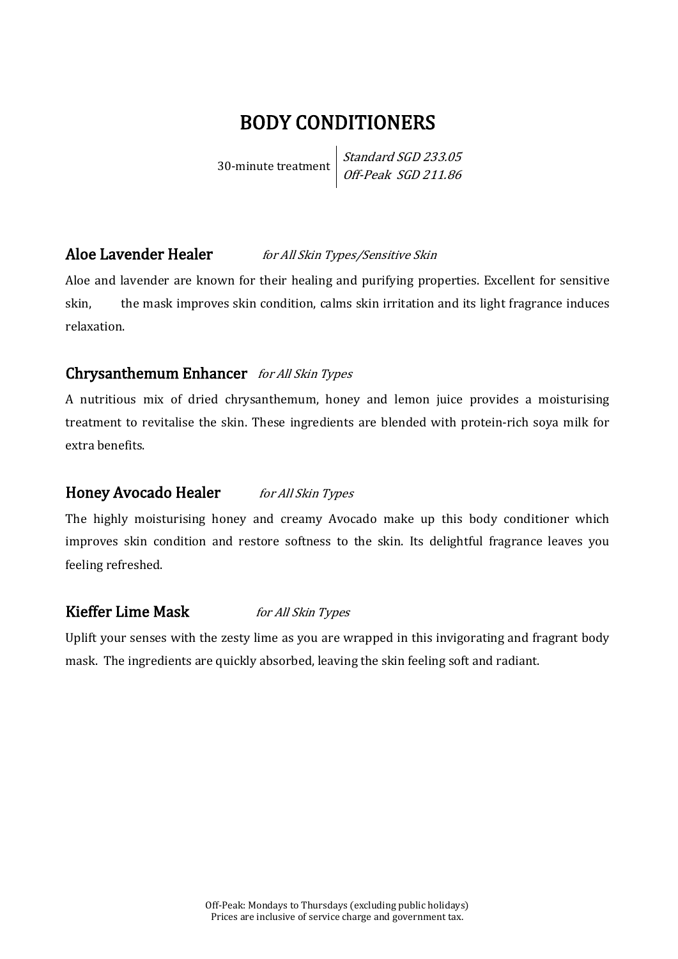## BODY CONDITIONERS

30-minute treatment

Standard SGD 233.05 Off-Peak SGD 211.86

#### Aloe Lavender Healer for All Skin Types/Sensitive Skin

Aloe and lavender are known for their healing and purifying properties. Excellent for sensitive skin, the mask improves skin condition, calms skin irritation and its light fragrance induces relaxation.

#### Chrysanthemum Enhancer for All Skin Types

A nutritious mix of dried chrysanthemum, honey and lemon juice provides a moisturising treatment to revitalise the skin. These ingredients are blended with protein-rich soya milk for extra benefits.

#### Honey Avocado Healer for All Skin Types

The highly moisturising honey and creamy Avocado make up this body conditioner which improves skin condition and restore softness to the skin. Its delightful fragrance leaves you feeling refreshed.

#### Kieffer Lime Mask for All Skin Types

Uplift your senses with the zesty lime as you are wrapped in this invigorating and fragrant body mask. The ingredients are quickly absorbed, leaving the skin feeling soft and radiant.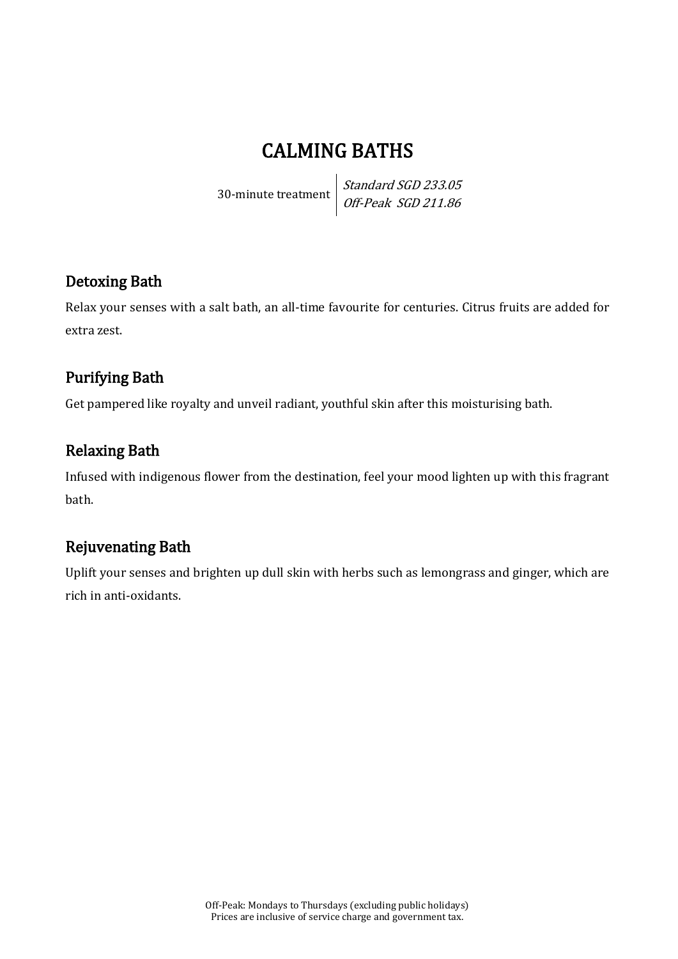## CALMING BATHS

30-minute treatment

Standard SGD 233.05 Off-Peak SGD 211.86

### Detoxing Bath

Relax your senses with a salt bath, an all-time favourite for centuries. Citrus fruits are added for extra zest.

### Purifying Bath

Get pampered like royalty and unveil radiant, youthful skin after this moisturising bath.

### Relaxing Bath

Infused with indigenous flower from the destination, feel your mood lighten up with this fragrant bath.

### Rejuvenating Bath

Uplift your senses and brighten up dull skin with herbs such as lemongrass and ginger, which are rich in anti-oxidants.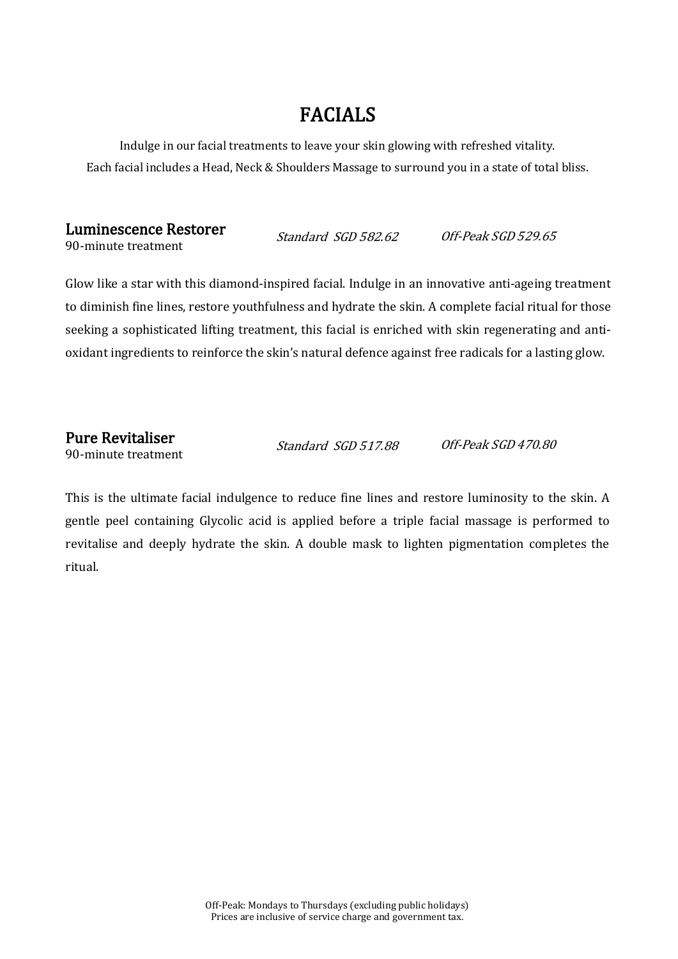## FACIALS

Indulge in our facial treatments to leave your skin glowing with refreshed vitality. Each facial includes a Head, Neck & Shoulders Massage to surround you in a state of total bliss.

#### Luminescence Restorer 90-minute treatment Standard SGD 582.62 Off-Peak SGD 529.65

Glow like a star with this diamond-inspired facial. Indulge in an innovative anti-ageing treatment to diminish fine lines, restore youthfulness and hydrate the skin. A complete facial ritual for those seeking a sophisticated lifting treatment, this facial is enriched with skin regenerating and antioxidant ingredients to reinforce the skin's natural defence against free radicals for a lasting glow.

 Pure Revitaliser 90-minute treatment

Standard SGD 517.88 Off-Peak SGD 470.80

This is the ultimate facial indulgence to reduce fine lines and restore luminosity to the skin. A gentle peel containing Glycolic acid is applied before a triple facial massage is performed to revitalise and deeply hydrate the skin. A double mask to lighten pigmentation completes the ritual.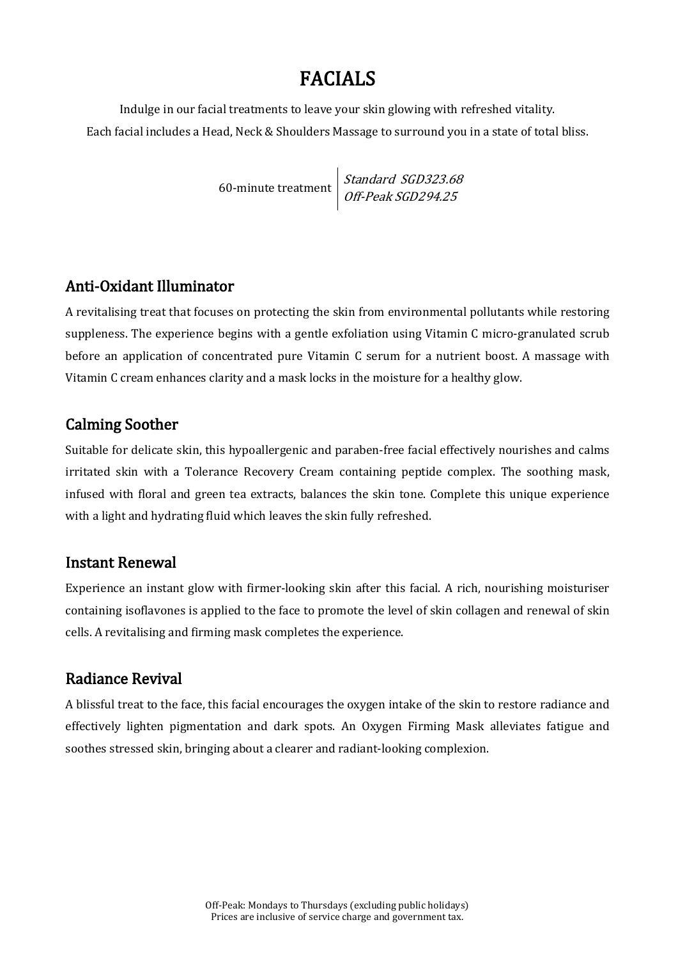## FACIALS

Indulge in our facial treatments to leave your skin glowing with refreshed vitality. Each facial includes a Head, Neck & Shoulders Massage to surround you in a state of total bliss.

> 60-minute treatment Standard SGD323.68 Off-Peak SGD294.25

#### Anti-Oxidant Illuminator

A revitalising treat that focuses on protecting the skin from environmental pollutants while restoring suppleness. The experience begins with a gentle exfoliation using Vitamin C micro-granulated scrub before an application of concentrated pure Vitamin C serum for a nutrient boost. A massage with Vitamin C cream enhances clarity and a mask locks in the moisture for a healthy glow.

### Calming Soother

Suitable for delicate skin, this hypoallergenic and paraben-free facial effectively nourishes and calms irritated skin with a Tolerance Recovery Cream containing peptide complex. The soothing mask, infused with floral and green tea extracts, balances the skin tone. Complete this unique experience with a light and hydrating fluid which leaves the skin fully refreshed.

#### Instant Renewal

Experience an instant glow with firmer-looking skin after this facial. A rich, nourishing moisturiser containing isoflavones is applied to the face to promote the level of skin collagen and renewal of skin cells. A revitalising and firming mask completes the experience.

### Radiance Revival

A blissful treat to the face, this facial encourages the oxygen intake of the skin to restore radiance and effectively lighten pigmentation and dark spots. An Oxygen Firming Mask alleviates fatigue and soothes stressed skin, bringing about a clearer and radiant-looking complexion.